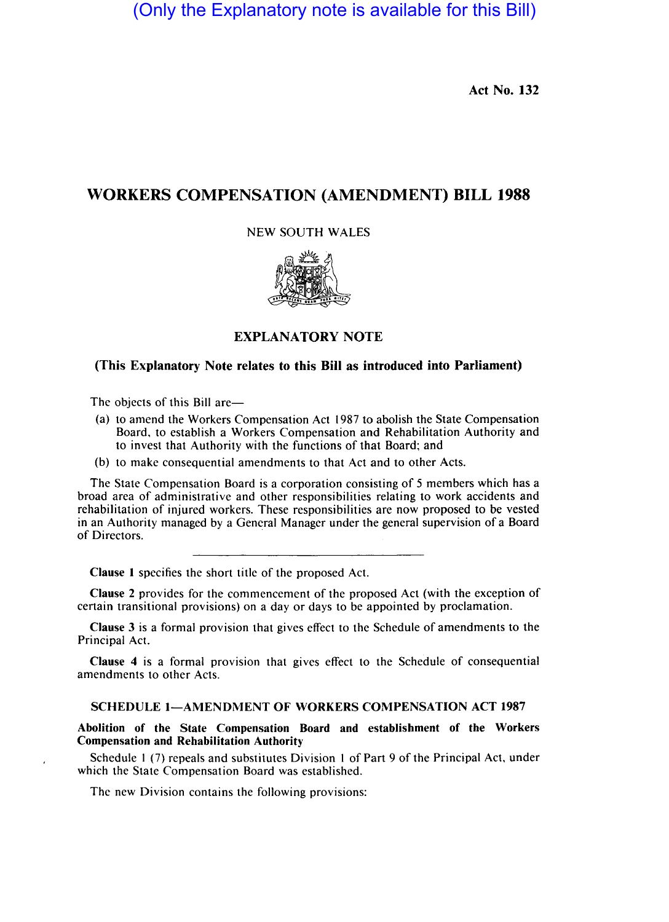(Only the Explanatory note is available for this Bill)

Act No. 132

# WORKERS COMPENSATION (AMENDMENT) BILL 1988

# NEW SOUTH WALES



# EXPLANATORY NOTE

# (This Explanatory Note relates to this Bill as introduced into Parliament)

The objects of this Bill are-

- (a) to amend the Workers Compensation Act 1987 to abolish the State Compensation Board, to establish a Workers Compensation and Rehabilitation Authority and to invest that Authority with the functions of that Board; and
- (b) to make consequential amendments to that Act and to other Acts.

The State Compensation Board is a corporation consisting of 5 members which has a broad area of administrative and other responsibilities relating to work accidents and rehabilitation of injured workers. These responsibilities are now proposed to be vested in an Authority managed by a General Manager under the general supervision of a Board of Directors.

Clause I specifies the short title of the proposed Act.

Clause 2 provides for the commencement of the proposed Act (with the exception of certain transitional provisions) on a day or days to be appointed by proclamation.

Clause 3 is a formal provision that gives effect to the Schedule of amendments to the Principal Act.

Clause 4 is a formal provision that gives effect to the Schedule of consequential amendments to other Acts.

# SCHEDULE 1-AMENDMENT OF WORKERS COMPENSATION ACT 1987

Abolition of the State Compensation Board and establishment of the Workers Compensation and Rehabilitation Authority

Schedule I (7) repeals and substitutes Division I of Part 9 of the Principal Act, under which the State Compensation Board was established.

The new Division contains the following provisions: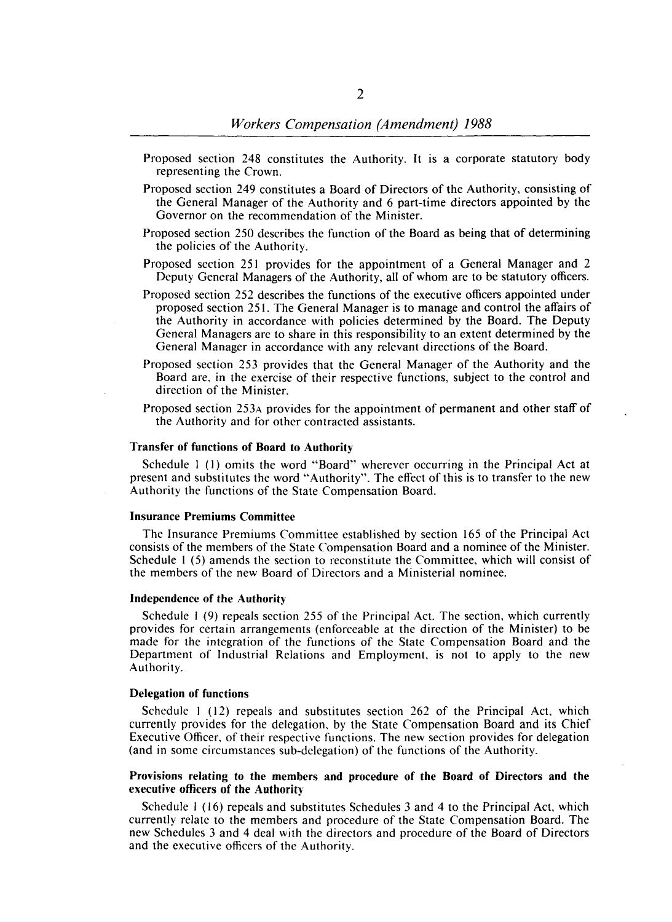- Proposed section 248 constitutes the Authority. It is a corporate statutory body representing the Crown.
- Proposed section 249 constitutes a Board of Directors of the Authority, consisting of the General Manager of the Authority and 6 part-time directors appointed by the Governor on the recommendation of the Minister.
- Proposed section 250 describes the function of the Board as being that of determining the policies of the Authority.
- Proposed section 251 provides for the appointment of a General Manager and 2 Deputy General Managers of the Authority, all of whom are to be statutory officers.
- Proposed section 252 describes the functions of the executive officers appointed under proposed section 251. The General Manager is to manage and control the affairs of the Authority in accordance with policies determined by the Board. The Deputy General Managers are to share in this responsibility to an extent determined by the General Manager in accordance with any relevant directions of the Board.
- Proposed section 253 provides that the General Manager of the Authority and the Board are, in the exercise of their respective functions, subject to the control and direction of the Minister.
- Proposed section 253A provides for the appointment of permanent and other staff of the Authority and for other contracted assistants.

### Transfer of functions of Board to Authority

Schedule I (I) omits the word "Board" wherever occurring in the Principal Act at present and substitutes the word "Authority". The effect of this is to transfer to the new Authority the functions of the State Compensation Board.

# Insurance Premiums Committee

The Insurance Premiums Committee established by section 165 of the Principal Act consists of the members of the State Compensation Board and a nominee of the Minister. Schedule I (5) amends the section to reconstitute the Committee, which will consist of the members of the new Board of Directors and a Ministerial nominee.

#### Independence of the Authority

Schedule 1 (9) repeals section 255 of the Principal Act. The section, which currently provides for certain arrangements (enforceable at the direction of the Minister) to be made for the integration of the functions of the State Compensation Board and the Department of Industrial Relations and Employment, is not to apply to the new Authority.

### Delegation of functions

Schedule 1 (12) repeals and substitutes section 262 of the Principal Act, which currently provides for the delegation, by the State Compensation Board and its Chief Executive Officer, of their respective functions. The new section provides for delegation (and in some circumstances sub-delegation) of the functions of the Authority.

### Provisions relating to the members and procedure of the Board of Directors and the executive officers of the Authority

Schedule I (16) repeals and substitutes Schedules 3 and 4 to the Principal Act, which currently relate to the members and procedure of the State Compensation Board. The new Schedules 3 and 4 deal with the directors and procedure of the Board of Directors and the executive officers of the Authority.